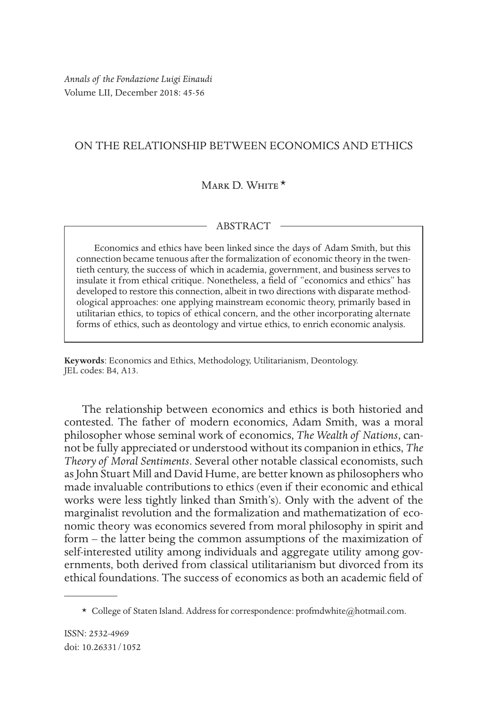# ON THE RELATIONSHIP BETWEEN ECONOMICS AND ETHICS

## $M$ ARK D. White  $\star$

## ABSTRACT

Economics and ethics have been linked since the days of Adam Smith, but this connection became tenuous after the formalization of economic theory in the twentieth century, the success of which in academia, government, and business serves to insulate it from ethical critique. Nonetheless, a field of "economics and ethics" has developed to restore this connection, albeit in two directions with disparate methodological approaches: one applying mainstream economic theory, primarily based in utilitarian ethics, to topics of ethical concern, and the other incorporating alternate forms of ethics, such as deontology and virtue ethics, to enrich economic analysis.

**Keywords**: Economics and Ethics, Methodology, Utilitarianism, Deontology. JEL codes: B4, A13.

The relationship between economics and ethics is both historied and contested. The father of modern economics, Adam Smith, was a moral philosopher whose seminal work of economics, *The Wealth of Nations*, cannot be fully appreciated or understood without its companion in ethics, *The Theory of Moral Sentiments*. Several other notable classical economists, such as John Stuart Mill and David Hume, are better known as philosophers who made invaluable contributions to ethics (even if their economic and ethical works were less tightly linked than Smith's). Only with the advent of the marginalist revolution and the formalization and mathematization of economic theory was economics severed from moral philosophy in spirit and form – the latter being the common assumptions of the maximization of self-interested utility among individuals and aggregate utility among governments, both derived from classical utilitarianism but divorced from its ethical foundations. The success of economics as both an academic field of

<sup>\*</sup> College of Staten Island. Address for correspondence: profmdwhite@hotmail.com.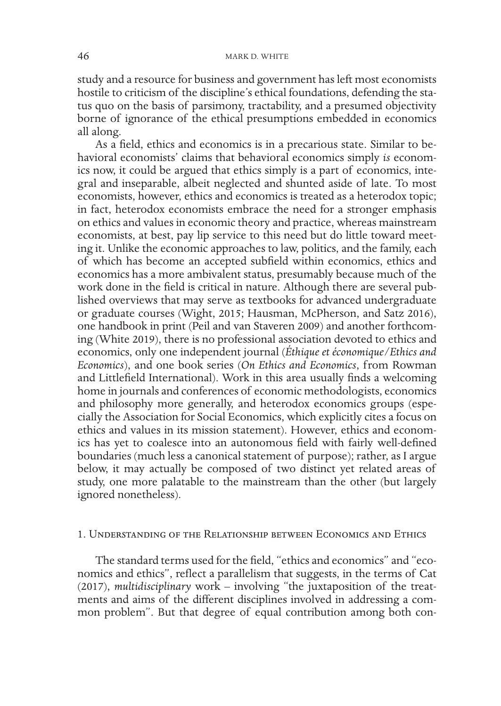study and a resource for business and government has left most economists hostile to criticism of the discipline's ethical foundations, defending the status quo on the basis of parsimony, tractability, and a presumed objectivity borne of ignorance of the ethical presumptions embedded in economics all along.

As a field, ethics and economics is in a precarious state. Similar to behavioral economists' claims that behavioral economics simply *is* economics now, it could be argued that ethics simply is a part of economics, integral and inseparable, albeit neglected and shunted aside of late. To most economists, however, ethics and economics is treated as a heterodox topic; in fact, heterodox economists embrace the need for a stronger emphasis on ethics and values in economic theory and practice, whereas mainstream economists, at best, pay lip service to this need but do little toward meeting it. Unlike the economic approaches to law, politics, and the family, each of which has become an accepted subfield within economics, ethics and economics has a more ambivalent status, presumably because much of the work done in the field is critical in nature. Although there are several published overviews that may serve as textbooks for advanced undergraduate or graduate courses (Wight, 2015; Hausman, McPherson, and Satz 2016), one handbook in print (Peil and van Staveren 2009) and another forthcoming (White 2019), there is no professional association devoted to ethics and economics, only one independent journal (*Éthique et économique/Ethics and Economics*), and one book series (*On Ethics and Economics*, from Rowman and Littlefield International). Work in this area usually finds a welcoming home in journals and conferences of economic methodologists, economics and philosophy more generally, and heterodox economics groups (especially the Association for Social Economics, which explicitly cites a focus on ethics and values in its mission statement). However, ethics and economics has yet to coalesce into an autonomous field with fairly well-defined boundaries (much less a canonical statement of purpose); rather, as I argue below, it may actually be composed of two distinct yet related areas of study, one more palatable to the mainstream than the other (but largely ignored nonetheless).

### 1. Understanding of the Relationship between Economics and Ethics

The standard terms used for the field, "ethics and economics" and "economics and ethics", reflect a parallelism that suggests, in the terms of Cat (2017), *multidisciplinary* work – involving "the juxtaposition of the treatments and aims of the different disciplines involved in addressing a common problem". But that degree of equal contribution among both con-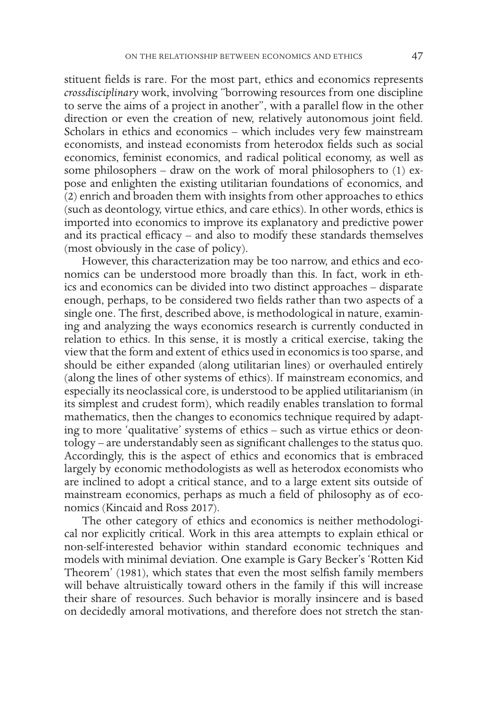stituent fields is rare. For the most part, ethics and economics represents *crossdisciplinary* work, involving "borrowing resources from one discipline to serve the aims of a project in another", with a parallel flow in the other direction or even the creation of new, relatively autonomous joint field. Scholars in ethics and economics – which includes very few mainstream economists, and instead economists from heterodox fields such as social economics, feminist economics, and radical political economy, as well as some philosophers – draw on the work of moral philosophers to (1) expose and enlighten the existing utilitarian foundations of economics, and (2) enrich and broaden them with insights from other approaches to ethics (such as deontology, virtue ethics, and care ethics). In other words, ethics is imported into economics to improve its explanatory and predictive power and its practical efficacy – and also to modify these standards themselves (most obviously in the case of policy).

However, this characterization may be too narrow, and ethics and economics can be understood more broadly than this. In fact, work in ethics and economics can be divided into two distinct approaches – disparate enough, perhaps, to be considered two fields rather than two aspects of a single one. The first, described above, is methodological in nature, examining and analyzing the ways economics research is currently conducted in relation to ethics. In this sense, it is mostly a critical exercise, taking the view that the form and extent of ethics used in economics is too sparse, and should be either expanded (along utilitarian lines) or overhauled entirely (along the lines of other systems of ethics). If mainstream economics, and especially its neoclassical core, is understood to be applied utilitarianism (in its simplest and crudest form), which readily enables translation to formal mathematics, then the changes to economics technique required by adapting to more 'qualitative' systems of ethics – such as virtue ethics or deontology – are understandably seen as significant challenges to the status quo. Accordingly, this is the aspect of ethics and economics that is embraced largely by economic methodologists as well as heterodox economists who are inclined to adopt a critical stance, and to a large extent sits outside of mainstream economics, perhaps as much a field of philosophy as of economics (Kincaid and Ross 2017).

The other category of ethics and economics is neither methodological nor explicitly critical. Work in this area attempts to explain ethical or non-self-interested behavior within standard economic techniques and models with minimal deviation. One example is Gary Becker's 'Rotten Kid Theorem' (1981), which states that even the most selfish family members will behave altruistically toward others in the family if this will increase their share of resources. Such behavior is morally insincere and is based on decidedly amoral motivations, and therefore does not stretch the stan-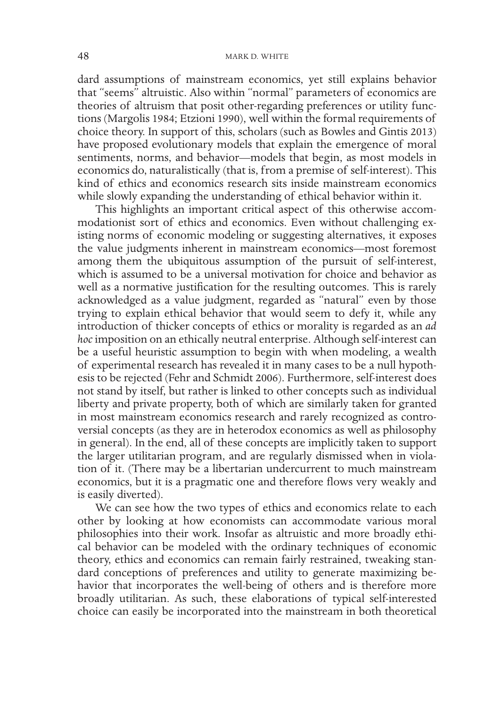dard assumptions of mainstream economics, yet still explains behavior that "seems" altruistic. Also within "normal" parameters of economics are theories of altruism that posit other-regarding preferences or utility functions (Margolis 1984; Etzioni 1990), well within the formal requirements of choice theory. In support of this, scholars (such as Bowles and Gintis 2013) have proposed evolutionary models that explain the emergence of moral sentiments, norms, and behavior—models that begin, as most models in economics do, naturalistically (that is, from a premise of self-interest). This kind of ethics and economics research sits inside mainstream economics while slowly expanding the understanding of ethical behavior within it.

This highlights an important critical aspect of this otherwise accommodationist sort of ethics and economics. Even without challenging existing norms of economic modeling or suggesting alternatives, it exposes the value judgments inherent in mainstream economics—most foremost among them the ubiquitous assumption of the pursuit of self-interest, which is assumed to be a universal motivation for choice and behavior as well as a normative justification for the resulting outcomes. This is rarely acknowledged as a value judgment, regarded as "natural" even by those trying to explain ethical behavior that would seem to defy it, while any introduction of thicker concepts of ethics or morality is regarded as an *ad hoc* imposition on an ethically neutral enterprise. Although self-interest can be a useful heuristic assumption to begin with when modeling, a wealth of experimental research has revealed it in many cases to be a null hypothesis to be rejected (Fehr and Schmidt 2006). Furthermore, self-interest does not stand by itself, but rather is linked to other concepts such as individual liberty and private property, both of which are similarly taken for granted in most mainstream economics research and rarely recognized as controversial concepts (as they are in heterodox economics as well as philosophy in general). In the end, all of these concepts are implicitly taken to support the larger utilitarian program, and are regularly dismissed when in violation of it. (There may be a libertarian undercurrent to much mainstream economics, but it is a pragmatic one and therefore flows very weakly and is easily diverted).

We can see how the two types of ethics and economics relate to each other by looking at how economists can accommodate various moral philosophies into their work. Insofar as altruistic and more broadly ethical behavior can be modeled with the ordinary techniques of economic theory, ethics and economics can remain fairly restrained, tweaking standard conceptions of preferences and utility to generate maximizing behavior that incorporates the well-being of others and is therefore more broadly utilitarian. As such, these elaborations of typical self-interested choice can easily be incorporated into the mainstream in both theoretical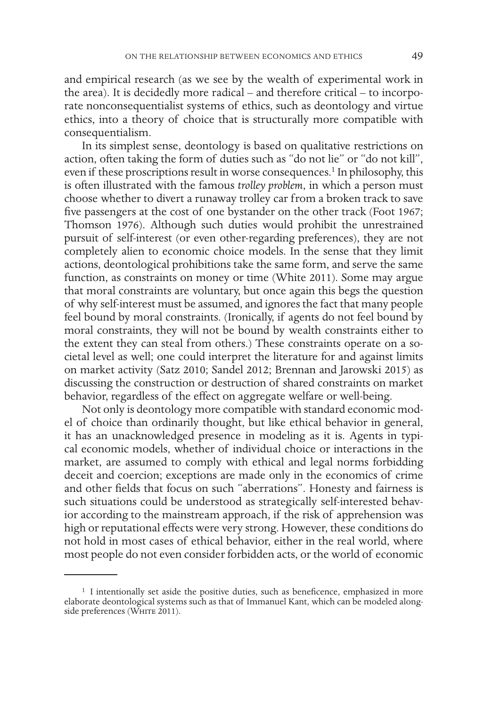and empirical research (as we see by the wealth of experimental work in the area). It is decidedly more radical – and therefore critical – to incorporate nonconsequentialist systems of ethics, such as deontology and virtue ethics, into a theory of choice that is structurally more compatible with consequentialism.

In its simplest sense, deontology is based on qualitative restrictions on action, often taking the form of duties such as "do not lie" or "do not kill", even if these proscriptions result in worse consequences.<sup>1</sup> In philosophy, this is often illustrated with the famous *trolley problem*, in which a person must choose whether to divert a runaway trolley car from a broken track to save five passengers at the cost of one bystander on the other track (Foot 1967; Thomson 1976). Although such duties would prohibit the unrestrained pursuit of self-interest (or even other-regarding preferences), they are not completely alien to economic choice models. In the sense that they limit actions, deontological prohibitions take the same form, and serve the same function, as constraints on money or time (White 2011). Some may argue that moral constraints are voluntary, but once again this begs the question of why self-interest must be assumed, and ignores the fact that many people feel bound by moral constraints. (Ironically, if agents do not feel bound by moral constraints, they will not be bound by wealth constraints either to the extent they can steal from others.) These constraints operate on a societal level as well; one could interpret the literature for and against limits on market activity (Satz 2010; Sandel 2012; Brennan and Jarowski 2015) as discussing the construction or destruction of shared constraints on market behavior, regardless of the effect on aggregate welfare or well-being.

Not only is deontology more compatible with standard economic model of choice than ordinarily thought, but like ethical behavior in general, it has an unacknowledged presence in modeling as it is. Agents in typical economic models, whether of individual choice or interactions in the market, are assumed to comply with ethical and legal norms forbidding deceit and coercion; exceptions are made only in the economics of crime and other fields that focus on such "aberrations". Honesty and fairness is such situations could be understood as strategically self-interested behavior according to the mainstream approach, if the risk of apprehension was high or reputational effects were very strong. However, these conditions do not hold in most cases of ethical behavior, either in the real world, where most people do not even consider forbidden acts, or the world of economic

<sup>&</sup>lt;sup>1</sup> I intentionally set aside the positive duties, such as beneficence, emphasized in more elaborate deontological systems such as that of Immanuel Kant, which can be modeled alongside preferences (WHITE 2011).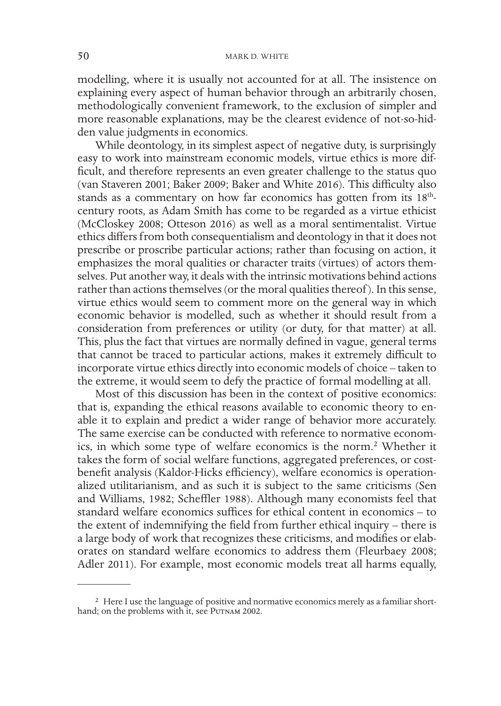modelling, where it is usually not accounted for at all. The insistence on explaining every aspect of human behavior through an arbitrarily chosen, methodologically convenient framework, to the exclusion of simpler and more reasonable explanations, may be the clearest evidence of not-so-hidden value judgments in economics.

While deontology, in its simplest aspect of negative duty, is surprisingly easy to work into mainstream economic models, virtue ethics is more difficult, and therefore represents an even greater challenge to the status quo (van Staveren 2001; Baker 2009; Baker and White 2016). This difficulty also stands as a commentary on how far economics has gotten from its 18<sup>th</sup>century roots, as Adam Smith has come to be regarded as a virtue ethicist (McCloskey 2008; Otteson 2016) as well as a moral sentimentalist. Virtue ethics differs from both consequentialism and deontology in that it does not prescribe or proscribe particular actions; rather than focusing on action, it emphasizes the moral qualities or character traits (virtues) of actors themselves. Put another way, it deals with the intrinsic motivations behind actions rather than actions themselves (or the moral qualities thereof ). In this sense, virtue ethics would seem to comment more on the general way in which economic behavior is modelled, such as whether it should result from a consideration from preferences or utility (or duty, for that matter) at all. This, plus the fact that virtues are normally defined in vague, general terms that cannot be traced to particular actions, makes it extremely difficult to incorporate virtue ethics directly into economic models of choice – taken to the extreme, it would seem to defy the practice of formal modelling at all.

Most of this discussion has been in the context of positive economics: that is, expanding the ethical reasons available to economic theory to enable it to explain and predict a wider range of behavior more accurately. The same exercise can be conducted with reference to normative economics, in which some type of welfare economics is the norm.<sup>2</sup> Whether it takes the form of social welfare functions, aggregated preferences, or costbenefit analysis (Kaldor-Hicks efficiency), welfare economics is operationalized utilitarianism, and as such it is subject to the same criticisms (Sen and Williams, 1982; Scheffler 1988). Although many economists feel that standard welfare economics suffices for ethical content in economics – to the extent of indemnifying the field from further ethical inquiry – there is a large body of work that recognizes these criticisms, and modifies or elaborates on standard welfare economics to address them (Fleurbaey 2008; Adler 2011). For example, most economic models treat all harms equally,

<sup>2</sup> Here I use the language of positive and normative economics merely as a familiar shorthand; on the problems with it, see PUTNAM 2002.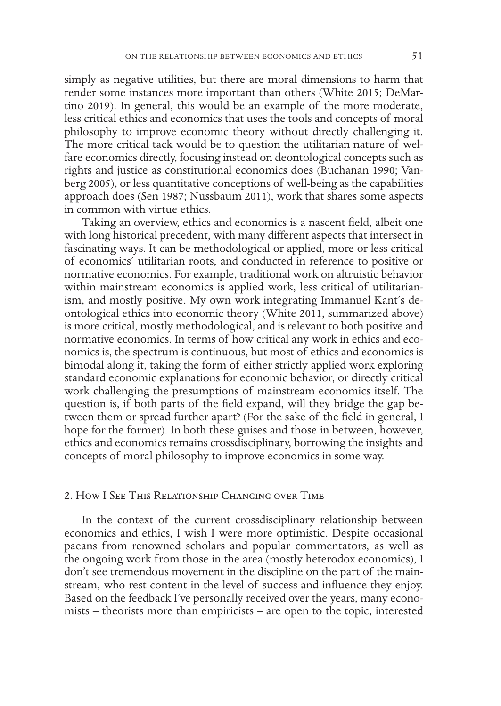simply as negative utilities, but there are moral dimensions to harm that render some instances more important than others (White 2015; DeMartino 2019). In general, this would be an example of the more moderate, less critical ethics and economics that uses the tools and concepts of moral philosophy to improve economic theory without directly challenging it. The more critical tack would be to question the utilitarian nature of welfare economics directly, focusing instead on deontological concepts such as rights and justice as constitutional economics does (Buchanan 1990; Vanberg 2005), or less quantitative conceptions of well-being as the capabilities approach does (Sen 1987; Nussbaum 2011), work that shares some aspects in common with virtue ethics.

Taking an overview, ethics and economics is a nascent field, albeit one with long historical precedent, with many different aspects that intersect in fascinating ways. It can be methodological or applied, more or less critical of economics' utilitarian roots, and conducted in reference to positive or normative economics. For example, traditional work on altruistic behavior within mainstream economics is applied work, less critical of utilitarianism, and mostly positive. My own work integrating Immanuel Kant's deontological ethics into economic theory (White 2011, summarized above) is more critical, mostly methodological, and is relevant to both positive and normative economics. In terms of how critical any work in ethics and economics is, the spectrum is continuous, but most of ethics and economics is bimodal along it, taking the form of either strictly applied work exploring standard economic explanations for economic behavior, or directly critical work challenging the presumptions of mainstream economics itself. The question is, if both parts of the field expand, will they bridge the gap between them or spread further apart? (For the sake of the field in general, I hope for the former). In both these guises and those in between, however, ethics and economics remains crossdisciplinary, borrowing the insights and concepts of moral philosophy to improve economics in some way.

## 2. How I See This Relationship Changing over Time

In the context of the current crossdisciplinary relationship between economics and ethics, I wish I were more optimistic. Despite occasional paeans from renowned scholars and popular commentators, as well as the ongoing work from those in the area (mostly heterodox economics), I don't see tremendous movement in the discipline on the part of the mainstream, who rest content in the level of success and influence they enjoy. Based on the feedback I've personally received over the years, many economists – theorists more than empiricists – are open to the topic, interested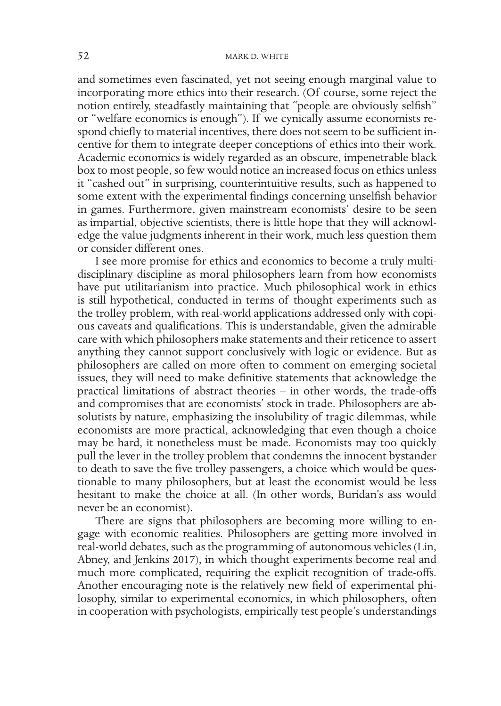and sometimes even fascinated, yet not seeing enough marginal value to incorporating more ethics into their research. (Of course, some reject the notion entirely, steadfastly maintaining that "people are obviously selfish" or "welfare economics is enough"). If we cynically assume economists respond chiefly to material incentives, there does not seem to be sufficient incentive for them to integrate deeper conceptions of ethics into their work. Academic economics is widely regarded as an obscure, impenetrable black box to most people, so few would notice an increased focus on ethics unless it "cashed out" in surprising, counterintuitive results, such as happened to some extent with the experimental findings concerning unselfish behavior in games. Furthermore, given mainstream economists' desire to be seen as impartial, objective scientists, there is little hope that they will acknowledge the value judgments inherent in their work, much less question them or consider different ones.

I see more promise for ethics and economics to become a truly multidisciplinary discipline as moral philosophers learn from how economists have put utilitarianism into practice. Much philosophical work in ethics is still hypothetical, conducted in terms of thought experiments such as the trolley problem, with real-world applications addressed only with copious caveats and qualifications. This is understandable, given the admirable care with which philosophers make statements and their reticence to assert anything they cannot support conclusively with logic or evidence. But as philosophers are called on more often to comment on emerging societal issues, they will need to make definitive statements that acknowledge the practical limitations of abstract theories – in other words, the trade-offs and compromises that are economists' stock in trade. Philosophers are absolutists by nature, emphasizing the insolubility of tragic dilemmas, while economists are more practical, acknowledging that even though a choice may be hard, it nonetheless must be made. Economists may too quickly pull the lever in the trolley problem that condemns the innocent bystander to death to save the five trolley passengers, a choice which would be questionable to many philosophers, but at least the economist would be less hesitant to make the choice at all. (In other words, Buridan's ass would never be an economist).

There are signs that philosophers are becoming more willing to engage with economic realities. Philosophers are getting more involved in real-world debates, such as the programming of autonomous vehicles (Lin, Abney, and Jenkins 2017), in which thought experiments become real and much more complicated, requiring the explicit recognition of trade-offs. Another encouraging note is the relatively new field of experimental philosophy, similar to experimental economics, in which philosophers, often in cooperation with psychologists, empirically test people's understandings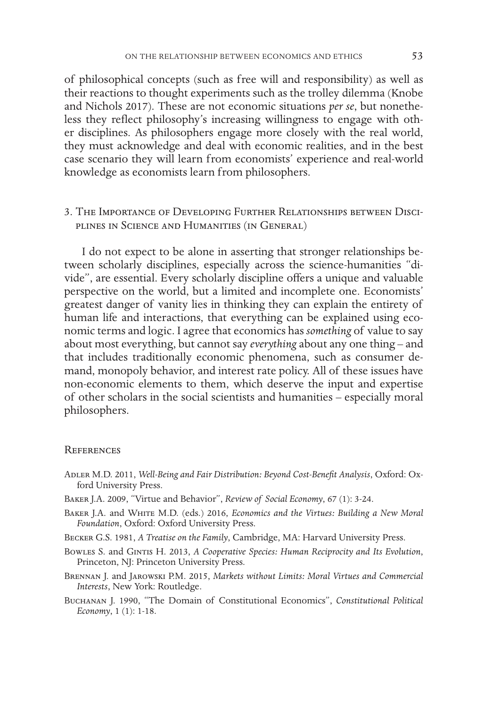of philosophical concepts (such as free will and responsibility) as well as their reactions to thought experiments such as the trolley dilemma (Knobe and Nichols 2017). These are not economic situations *per se*, but nonetheless they reflect philosophy's increasing willingness to engage with other disciplines. As philosophers engage more closely with the real world, they must acknowledge and deal with economic realities, and in the best case scenario they will learn from economists' experience and real-world knowledge as economists learn from philosophers.

3. The Importance of Developing Further Relationships between Disciplines in Science and Humanities (in General)

I do not expect to be alone in asserting that stronger relationships between scholarly disciplines, especially across the science-humanities "divide", are essential. Every scholarly discipline offers a unique and valuable perspective on the world, but a limited and incomplete one. Economists' greatest danger of vanity lies in thinking they can explain the entirety of human life and interactions, that everything can be explained using economic terms and logic. I agree that economics has *something* of value to say about most everything, but cannot say *everything* about any one thing – and that includes traditionally economic phenomena, such as consumer demand, monopoly behavior, and interest rate policy. All of these issues have non-economic elements to them, which deserve the input and expertise of other scholars in the social scientists and humanities – especially moral philosophers.

#### **REFERENCES**

- Adler M.D. 2011, *Well-Being and Fair Distribution: Beyond Cost-Benefit Analysis*, Oxford: Oxford University Press.
- Baker J.A. 2009, "Virtue and Behavior", *Review of Social Economy*, 67 (1): 3-24.
- Baker J.A. and White M.D. (eds.) 2016, *Economics and the Virtues: Building a New Moral Foundation*, Oxford: Oxford University Press.
- Becker G.S. 1981, *A Treatise on the Family*, Cambridge, MA: Harvard University Press.
- Bowles S. and Gintis H. 2013, *A Cooperative Species: Human Reciprocity and Its Evolution*, Princeton, NJ: Princeton University Press.
- Brennan J. and Jarowski P.M. 2015, *Markets without Limits: Moral Virtues and Commercial Interests*, New York: Routledge.
- Buchanan J. 1990, "The Domain of Constitutional Economics", *Constitutional Political Economy*, 1 (1): 1-18.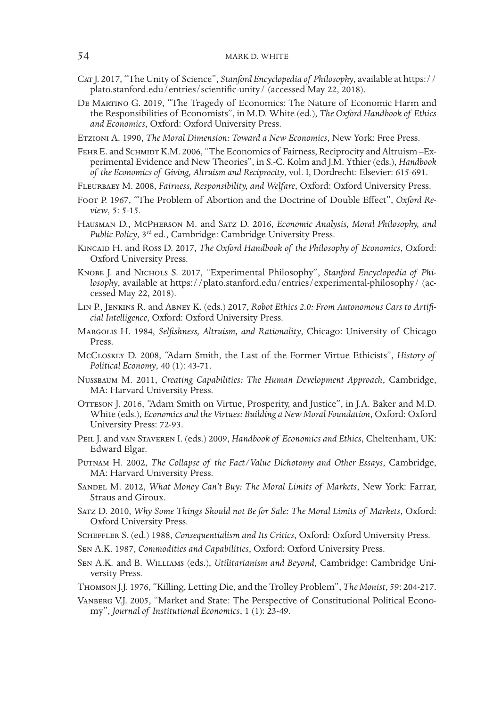- Cat J. 2017, "The Unity of Science", *Stanford Encyclopedia of Philosophy*, available at https:// plato.stanford.edu/entries/scientific-unity/ (accessed May 22, 2018).
- De Martino G. 2019, "The Tragedy of Economics: The Nature of Economic Harm and the Responsibilities of Economists", in M.D. White (ed.), *The Oxford Handbook of Ethics and Economics*, Oxford: Oxford University Press.
- Etzioni A. 1990, *The Moral Dimension: Toward a New Economics*, New York: Free Press.
- FEHR E. and SCHMIDT K.M. 2006, "The Economics of Fairness, Reciprocity and Altruism -Experimental Evidence and New Theories", in S.-C. Kolm and J.M. Ythier (eds.), *Handbook of the Economics of Giving, Altruism and Reciprocity*, vol. I, Dordrecht: Elsevier: 615-691.
- Fleurbaey M. 2008, *Fairness, Responsibility, and Welfare*, Oxford: Oxford University Press.
- Foot P. 1967, "The Problem of Abortion and the Doctrine of Double Effect", *Oxford Review*, 5: 5-15.
- Hausman D., McPherson M. and Satz D. 2016, *Economic Analysis, Moral Philosophy, and Public Policy*, 3rd ed., Cambridge: Cambridge University Press.
- Kincaid H. and Ross D. 2017, *The Oxford Handbook of the Philosophy of Economics*, Oxford: Oxford University Press.
- Knobe J. and Nichols S. 2017, "Experimental Philosophy", *Stanford Encyclopedia of Philosophy*, available at https://plato.stanford.edu/entries/experimental-philosophy/ (accessed May 22, 2018).
- Lin P., Jenkins R. and Abney K. (eds.) 2017, *Robot Ethics 2.0: From Autonomous Cars to Artificial Intelligence*, Oxford: Oxford University Press.
- Margolis H. 1984, *Selfishness, Altruism, and Rationality*, Chicago: University of Chicago Press.
- McCloskey D. 2008, "Adam Smith, the Last of the Former Virtue Ethicists", *History of Political Economy*, 40 (1): 43-71.
- Nussbaum M. 2011, *Creating Capabilities: The Human Development Approach*, Cambridge, MA: Harvard University Press.
- OTTESON J. 2016, "Adam Smith on Virtue, Prosperity, and Justice", in J.A. Baker and M.D. White (eds.), *Economics and the Virtues: Building a New Moral Foundation*, Oxford: Oxford University Press: 72-93.
- Peil J. and van Staveren I. (eds.) 2009, *Handbook of Economics and Ethics*, Cheltenham, UK: Edward Elgar.
- Putnam H. 2002, *The Collapse of the Fact/Value Dichotomy and Other Essays*, Cambridge, MA: Harvard University Press.
- Sandel M. 2012, *What Money Can't Buy: The Moral Limits of Markets*, New York: Farrar, Straus and Giroux.
- Satz D. 2010, *Why Some Things Should not Be for Sale: The Moral Limits of Markets*, Oxford: Oxford University Press.
- Scheffler S. (ed.) 1988, *Consequentialism and Its Critics*, Oxford: Oxford University Press.
- Sen A.K. 1987, *Commodities and Capabilities*, Oxford: Oxford University Press.
- Sen A.K. and B. Williams (eds.), *Utilitarianism and Beyond*, Cambridge: Cambridge University Press.
- Thomson J.J. 1976, "Killing, Letting Die, and the Trolley Problem", *The Monist*, 59: 204-217.
- Vanberg V.J. 2005, "Market and State: The Perspective of Constitutional Political Economy", *Journal of Institutional Economics*, 1 (1): 23-49.